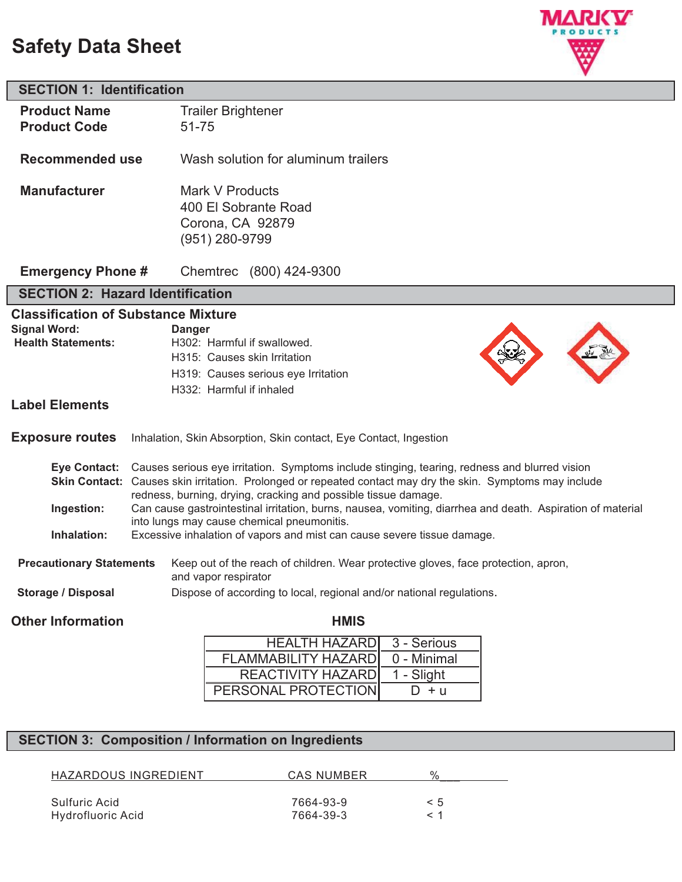# **Safety Data Sheet**



| <b>SECTION 1: Identification</b>                        |                                                                                                                       |                                                                                                            |  |  |
|---------------------------------------------------------|-----------------------------------------------------------------------------------------------------------------------|------------------------------------------------------------------------------------------------------------|--|--|
| <b>Product Name</b>                                     |                                                                                                                       | <b>Trailer Brightener</b>                                                                                  |  |  |
| <b>Product Code</b>                                     | 51-75                                                                                                                 |                                                                                                            |  |  |
|                                                         |                                                                                                                       |                                                                                                            |  |  |
| <b>Recommended use</b>                                  |                                                                                                                       | Wash solution for aluminum trailers                                                                        |  |  |
| <b>Manufacturer</b>                                     |                                                                                                                       | Mark V Products                                                                                            |  |  |
|                                                         |                                                                                                                       | 400 El Sobrante Road                                                                                       |  |  |
|                                                         |                                                                                                                       | Corona, CA 92879                                                                                           |  |  |
|                                                         |                                                                                                                       | (951) 280-9799                                                                                             |  |  |
|                                                         |                                                                                                                       |                                                                                                            |  |  |
| <b>Emergency Phone #</b>                                |                                                                                                                       | Chemtrec (800) 424-9300                                                                                    |  |  |
| <b>SECTION 2: Hazard Identification</b>                 |                                                                                                                       |                                                                                                            |  |  |
| <b>Classification of Substance Mixture</b>              |                                                                                                                       |                                                                                                            |  |  |
| <b>Signal Word:</b>                                     | <b>Danger</b>                                                                                                         |                                                                                                            |  |  |
| <b>Health Statements:</b>                               |                                                                                                                       | H302: Harmful if swallowed.                                                                                |  |  |
|                                                         |                                                                                                                       | H315: Causes skin Irritation                                                                               |  |  |
|                                                         |                                                                                                                       | H319: Causes serious eye Irritation                                                                        |  |  |
|                                                         |                                                                                                                       | H332: Harmful if inhaled                                                                                   |  |  |
| <b>Label Elements</b>                                   |                                                                                                                       |                                                                                                            |  |  |
| <b>Exposure routes</b>                                  |                                                                                                                       | Inhalation, Skin Absorption, Skin contact, Eye Contact, Ingestion                                          |  |  |
| <b>Eye Contact:</b>                                     |                                                                                                                       | Causes serious eye irritation. Symptoms include stinging, tearing, redness and blurred vision              |  |  |
|                                                         |                                                                                                                       | Skin Contact: Causes skin irritation. Prolonged or repeated contact may dry the skin. Symptoms may include |  |  |
|                                                         |                                                                                                                       | redness, burning, drying, cracking and possible tissue damage.                                             |  |  |
| Ingestion:                                              |                                                                                                                       | Can cause gastrointestinal irritation, burns, nausea, vomiting, diarrhea and death. Aspiration of material |  |  |
| Inhalation:                                             | into lungs may cause chemical pneumonitis.<br>Excessive inhalation of vapors and mist can cause severe tissue damage. |                                                                                                            |  |  |
|                                                         |                                                                                                                       |                                                                                                            |  |  |
| <b>Precautionary Statements</b><br>and vapor respirator |                                                                                                                       | Keep out of the reach of children. Wear protective gloves, face protection, apron,                         |  |  |
| <b>Storage / Disposal</b>                               |                                                                                                                       | Dispose of according to local, regional and/or national regulations.                                       |  |  |
| <b>Other Information</b>                                |                                                                                                                       | <b>HMIS</b>                                                                                                |  |  |
|                                                         |                                                                                                                       | <b>HEALTH HAZARD</b><br>$3 -$ Serious                                                                      |  |  |
|                                                         |                                                                                                                       |                                                                                                            |  |  |

| <b>HEALTH HAZARD</b> 3 - Serious |             |
|----------------------------------|-------------|
| <b>FLAMMABILITY HAZARD</b>       | 0 - Minimal |
| REACTIVITY HAZARD                | 1 - Slight  |
| PERSONAL PROTECTION              | $D + u$     |

## **SECTION 3: Composition / Information on Ingredients**

| HAZARDOUS INGREDIENT | CAS NUMBER | 0/  |
|----------------------|------------|-----|
| Sulfuric Acid        | 7664-93-9  | < 5 |
| Hydrofluoric Acid    | 7664-39-3  | ⊂ 1 |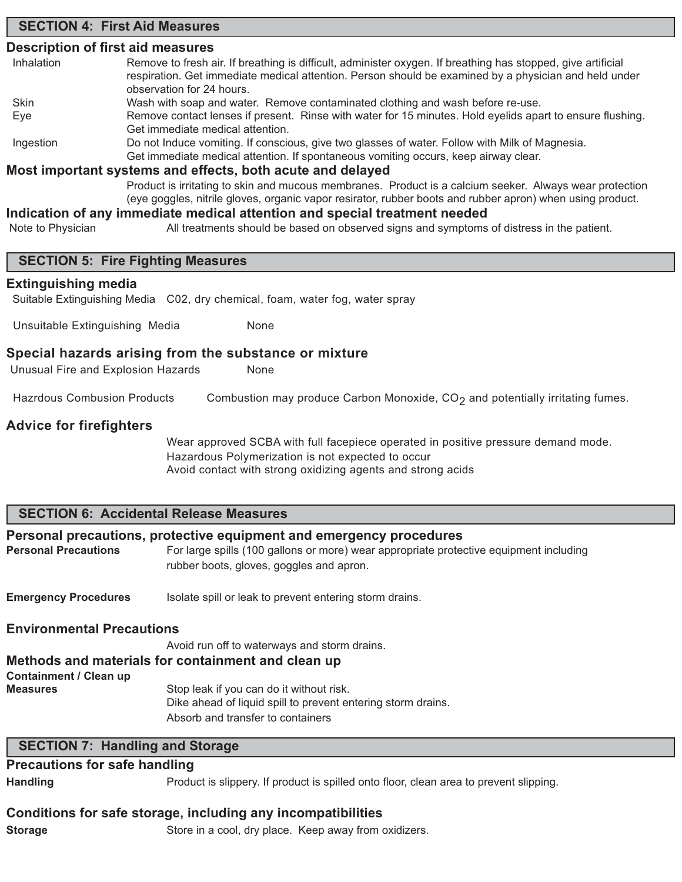### **SECTION 4: First Aid Measures**

### **Description of first aid measures**

| Inhalation | Remove to fresh air. If breathing is difficult, administer oxygen. If breathing has stopped, give artificial<br>respiration. Get immediate medical attention. Person should be examined by a physician and held under |  |  |
|------------|-----------------------------------------------------------------------------------------------------------------------------------------------------------------------------------------------------------------------|--|--|
|            | observation for 24 hours.                                                                                                                                                                                             |  |  |
| Skin       | Wash with soap and water. Remove contaminated clothing and wash before re-use.                                                                                                                                        |  |  |
| Eve        | Remove contact lenses if present. Rinse with water for 15 minutes. Hold eyelids apart to ensure flushing.                                                                                                             |  |  |
|            | Get immediate medical attention.                                                                                                                                                                                      |  |  |
| Ingestion  | Do not Induce vomiting. If conscious, give two glasses of water. Follow with Milk of Magnesia.                                                                                                                        |  |  |
|            | Get immediate medical attention. If spontaneous vomiting occurs, keep airway clear.                                                                                                                                   |  |  |
|            | Most important systems and effects, both acute and delayed                                                                                                                                                            |  |  |
|            | Product is irritating to skin and mucous membranes. Product is a calcium seeker. Always wear protection                                                                                                               |  |  |

(eye goggles, nitrile gloves, organic vapor resirator, rubber boots and rubber apron) when using product.

### **Indication of any immediate medical attention and special treatment needed**

Note to Physician All treatments should be based on observed signs and symptoms of distress in the patient.

### **SECTION 5: Fire Fighting Measures**

### **Extinguishing media**

Suitable Extinguishing Media C02, dry chemical, foam, water fog, water spray

Unsuitable Extinguishing Media None

### **Special hazards arising from the substance or mixture**

Unusual Fire and Explosion Hazards None

Hazrdous Combusion Products Combustion may produce Carbon Monoxide,  $CO<sub>2</sub>$  and potentially irritating fumes.

### **Advice for firefighters**

Wear approved SCBA with full facepiece operated in positive pressure demand mode. Hazardous Polymerization is not expected to occur Avoid contact with strong oxidizing agents and strong acids

### **SECTION 6: Accidental Release Measures**

### **Personal precautions, protective equipment and emergency procedures**

Personal Precautions For large spills (100 gallons or more) wear appropriate protective equipment including rubber boots, gloves, goggles and apron.

**Emergency Procedures** Isolate spill or leak to prevent entering storm drains.

### **Environmental Precautions**

Avoid run off to waterways and storm drains. **Methods and materials for containment and clean up Containment / Clean up Measures** Stop leak if you can do it without risk. Dike ahead of liquid spill to prevent entering storm drains. Absorb and transfer to containers

### **SECTION 7: Handling and Storage**

### **Precautions for safe handling**

**Handling** Product is slippery. If product is spilled onto floor, clean area to prevent slipping.

### **Conditions for safe storage, including any incompatibilities**

**Storage** Store in a cool, dry place. Keep away from oxidizers.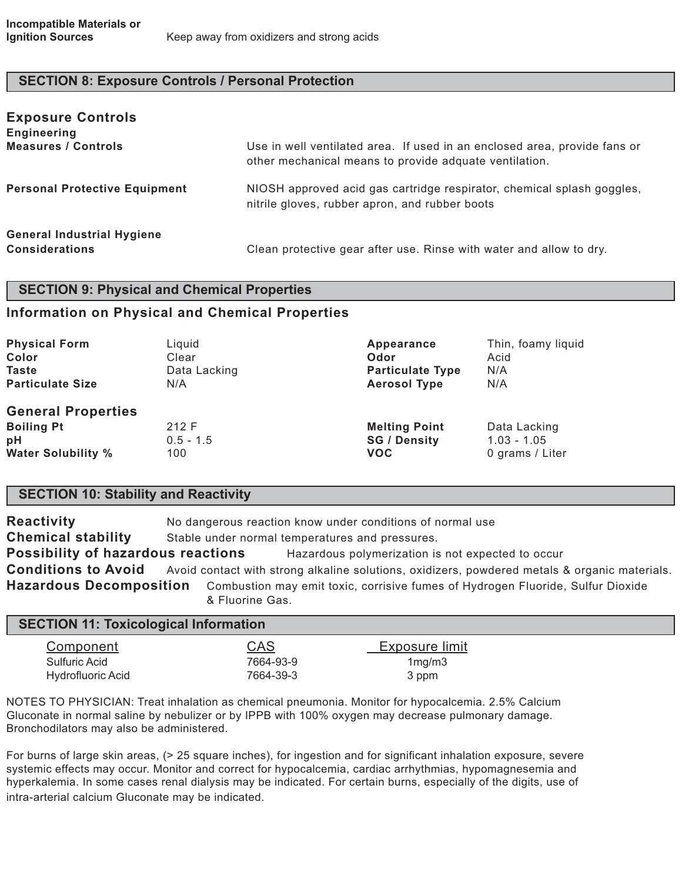### **SECTION 8: Exposure Controls / Personal Protection**

| <b>Exposure Controls</b><br><b>Engineering</b>             |                                                                                                                                     |
|------------------------------------------------------------|-------------------------------------------------------------------------------------------------------------------------------------|
| <b>Measures / Controls</b>                                 | Use in well ventilated area. If used in an enclosed area, provide fans or<br>other mechanical means to provide adquate ventilation. |
| <b>Personal Protective Equipment</b>                       | NIOSH approved acid gas cartridge respirator, chemical splash goggles,<br>nitrile gloves, rubber apron, and rubber boots            |
| <b>General Industrial Hygiene</b><br><b>Considerations</b> | Clean protective gear after use. Rinse with water and allow to dry.                                                                 |

### **SECTION 9: Physical and Chemical Properties**

### **Information on Physical and Chemical Properties**

| <b>Physical Form</b>                                                              | Liquid                      | Appearance                                                | Thin, foamy liquid                               |
|-----------------------------------------------------------------------------------|-----------------------------|-----------------------------------------------------------|--------------------------------------------------|
| Color                                                                             | Clear                       | Odor                                                      | Acid                                             |
| <b>Taste</b>                                                                      | Data Lacking                | <b>Particulate Type</b>                                   | N/A                                              |
| <b>Particulate Size</b>                                                           | N/A                         | <b>Aerosol Type</b>                                       | N/A                                              |
| <b>General Properties</b><br><b>Boiling Pt</b><br>pH<br><b>Water Solubility %</b> | 212 F<br>$0.5 - 1.5$<br>100 | <b>Melting Point</b><br><b>SG / Density</b><br><b>VOC</b> | Data Lacking<br>$1.03 - 1.05$<br>0 grams / Liter |

### **SECTION 10: Stability and Reactivity**

**Reactivity** No dangerous reaction know under conditions of normal use **Chemical stability** Stable under normal temperatures and pressures. **Possibility of hazardous reactions** Hazardous polymerization is not expected to occur **Conditions to Avoid** Avoid contact with strong alkaline solutions, oxidizers, powdered metals & organic materials. **Hazardous Decomposition** Combustion may emit toxic, corrisive fumes of Hydrogen Fluoride, Sulfur Dioxide & Fluorine Gas.

| <b>SECTION 11: Toxicological Information</b> |            |                |  |
|----------------------------------------------|------------|----------------|--|
| <u>Component</u>                             | <u>CAS</u> | Exposure limit |  |
| Sulfuric Acid                                | 7664-93-9  | 1mg/m3         |  |
| <b>Hydrofluoric Acid</b>                     | 7664-39-3  | 3 ppm          |  |

NOTES TO PHYSICIAN: Treat inhalation as chemical pneumonia. Monitor for hypocalcemia. 2.5% Calcium Gluconate in normal saline by nebulizer or by IPPB with 100% oxygen may decrease pulmonary damage. Bronchodilators may also be administered.

For burns of large skin areas, (> 25 square inches), for ingestion and for significant inhalation exposure, severe systemic effects may occur. Monitor and correct for hypocalcemia, cardiac arrhythmias, hypomagnesemia and hyperkalemia. In some cases renal dialysis may be indicated. For certain burns, especially of the digits, use of intra-arterial calcium Gluconate may be indicated.